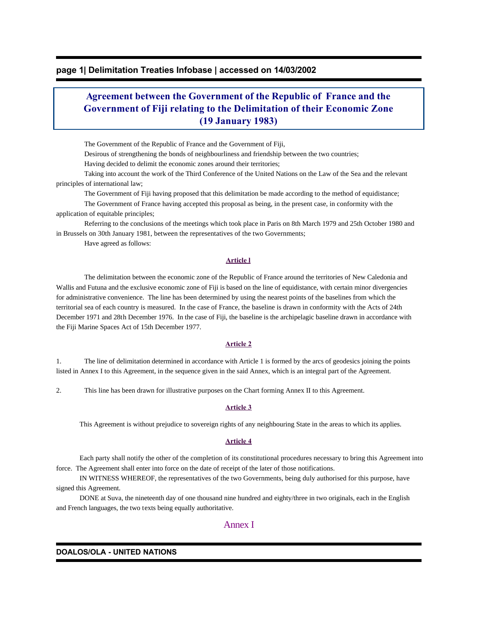# **page 1| Delimitation Treaties Infobase | accessed on 14/03/2002**

# **Agreement between the Government of the Republic of France and the Government of Fiji relating to the Delimitation of their Economic Zone (19 January 1983)**

The Government of the Republic of France and the Government of Fiji,

Desirous of strengthening the bonds of neighbourliness and friendship between the two countries;

Having decided to delimit the economic zones around their territories;

 Taking into account the work of the Third Conference of the United Nations on the Law of the Sea and the relevant principles of international law;

The Government of Fiji having proposed that this delimitation be made according to the method of equidistance;

 The Government of France having accepted this proposal as being, in the present case, in conformity with the application of equitable principles;

 Referring to the conclusions of the meetings which took place in Paris on 8th March 1979 and 25th October 1980 and in Brussels on 30th January 1981, between the representatives of the two Governments;

Have agreed as follows:

## **Article l**

 The delimitation between the economic zone of the Republic of France around the territories of New Caledonia and Wallis and Futuna and the exclusive economic zone of Fiji is based on the line of equidistance, with certain minor divergencies for administrative convenience. The line has been determined by using the nearest points of the baselines from which the territorial sea of each country is measured. In the case of France, the baseline is drawn in conformity with the Acts of 24th December 1971 and 28th December 1976. In the case of Fiji, the baseline is the archipelagic baseline drawn in accordance with the Fiji Marine Spaces Act of 15th December 1977.

### **Article 2**

1. The line of delimitation determined in accordance with Article 1 is formed by the arcs of geodesics joining the points listed in Annex I to this Agreement, in the sequence given in the said Annex, which is an integral part of the Agreement.

2. This line has been drawn for illustrative purposes on the Chart forming Annex II to this Agreement.

#### **Article 3**

This Agreement is without prejudice to sovereign rights of any neighbouring State in the areas to which its applies.

### **Article 4**

 Each party shall notify the other of the completion of its constitutional procedures necessary to bring this Agreement into force. The Agreement shall enter into force on the date of receipt of the later of those notifications.

 IN WITNESS WHEREOF, the representatives of the two Governments, being duly authorised for this purpose, have signed this Agreement.

 DONE at Suva, the nineteenth day of one thousand nine hundred and eighty/three in two originals, each in the English and French languages, the two texts being equally authoritative.

# Annex I

#### **DOALOS/OLA - UNITED NATIONS**